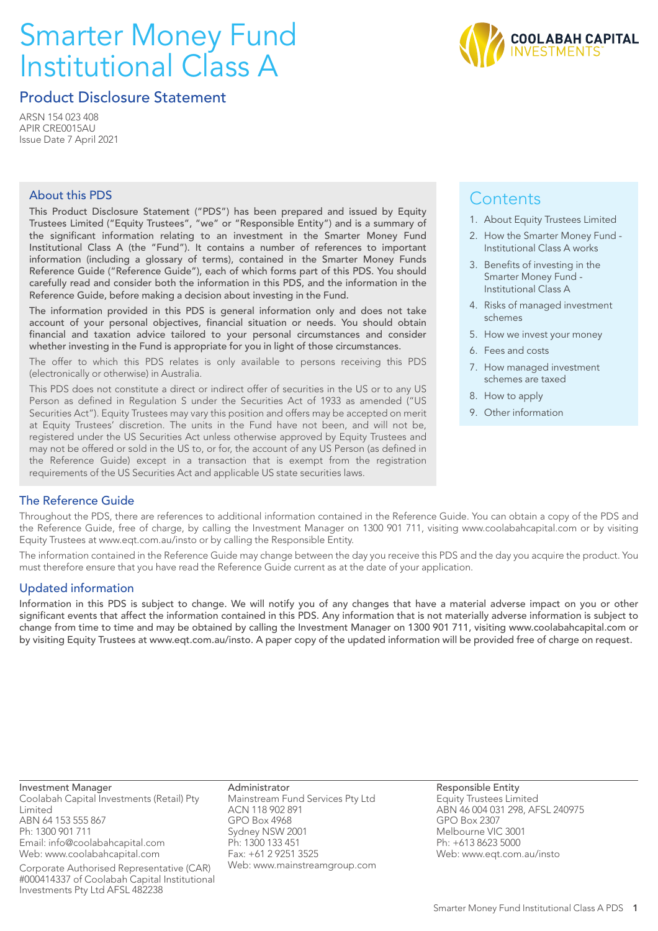# Smarter Money Fund Institutional Class A



### Product Disclosure Statement

ARSN 154 023 408 APIR CRE0015AU Issue Date 7 April 2021

#### About this PDS

This Product Disclosure Statement ("PDS") has been prepared and issued by Equity Trustees Limited ("Equity Trustees", "we" or "Responsible Entity") and is a summary of the significant information relating to an investment in the Smarter Money Fund Institutional Class A (the "Fund"). It contains a number of references to important information (including a glossary of terms), contained in the Smarter Money Funds Reference Guide ("Reference Guide"), each of which forms part of this PDS. You should carefully read and consider both the information in this PDS, and the information in the Reference Guide, before making a decision about investing in the Fund.

The information provided in this PDS is general information only and does not take account of your personal objectives, financial situation or needs. You should obtain financial and taxation advice tailored to your personal circumstances and consider whether investing in the Fund is appropriate for you in light of those circumstances.

The offer to which this PDS relates is only available to persons receiving this PDS (electronically or otherwise) in Australia.

This PDS does not constitute a direct or indirect offer of securities in the US or to any US Person as defined in Regulation S under the Securities Act of 1933 as amended ("US Securities Act"). Equity Trustees may vary this position and offers may be accepted on merit at Equity Trustees' discretion. The units in the Fund have not been, and will not be, registered under the US Securities Act unless otherwise approved by Equity Trustees and may not be offered or sold in the US to, or for, the account of any US Person (as defined in the Reference Guide) except in a transaction that is exempt from the registration requirements of the US Securities Act and applicable US state securities laws.

### **Contents**

- 1. About Equity Trustees Limited
- 2. How the Smarter Money Fund Institutional Class A works
- 3. Benefits of investing in the Smarter Money Fund - Institutional Class A
- 4. Risks of managed investment schemes
- 5. How we invest your money
- 6. Fees and costs
- 7. How managed investment schemes are taxed
- 8. How to apply
- 9. Other information

#### The Reference Guide

Throughout the PDS, there are references to additional information contained in the Reference Guide. You can obtain a copy of the PDS and the Reference Guide, free of charge, by calling the Investment Manager on 1300 901 711, visiting www.coolabahcapital.com or by visiting Equity Trustees at www.eqt.com.au/insto or by calling the Responsible Entity.

The information contained in the Reference Guide may change between the day you receive this PDS and the day you acquire the product. You must therefore ensure that you have read the Reference Guide current as at the date of your application.

#### Updated information

Information in this PDS is subject to change. We will notify you of any changes that have a material adverse impact on you or other significant events that affect the information contained in this PDS. Any information that is not materially adverse information is subject to change from time to time and may be obtained by calling the Investment Manager on 1300 901 711, visiting www.coolabahcapital.com or by visiting Equity Trustees at www.eqt.com.au/insto. A paper copy of the updated information will be provided free of charge on request.

Investment Manager Coolabah Capital Investments (Retail) Pty Limited ABN 64 153 555 867 Ph: 1300 901 711 Email: info@coolabahcapital.com Web: www.coolabahcapital.com

Corporate Authorised Representative (CAR) #000414337 of Coolabah Capital Institutional Investments Pty Ltd AFSL 482238

Administrator Mainstream Fund Services Pty Ltd ACN 118 902 891 GPO Box 4968 Sydney NSW 2001 Ph: 1300 133 451 Fax: +61 2 9251 3525 Web: www.mainstreamgroup.com Responsible Entity Equity Trustees Limited ABN 46 004 031 298, AFSL 240975 GPO Box 2307 Melbourne VIC 3001 Ph: +613 8623 5000 Web: www.eqt.com.au/insto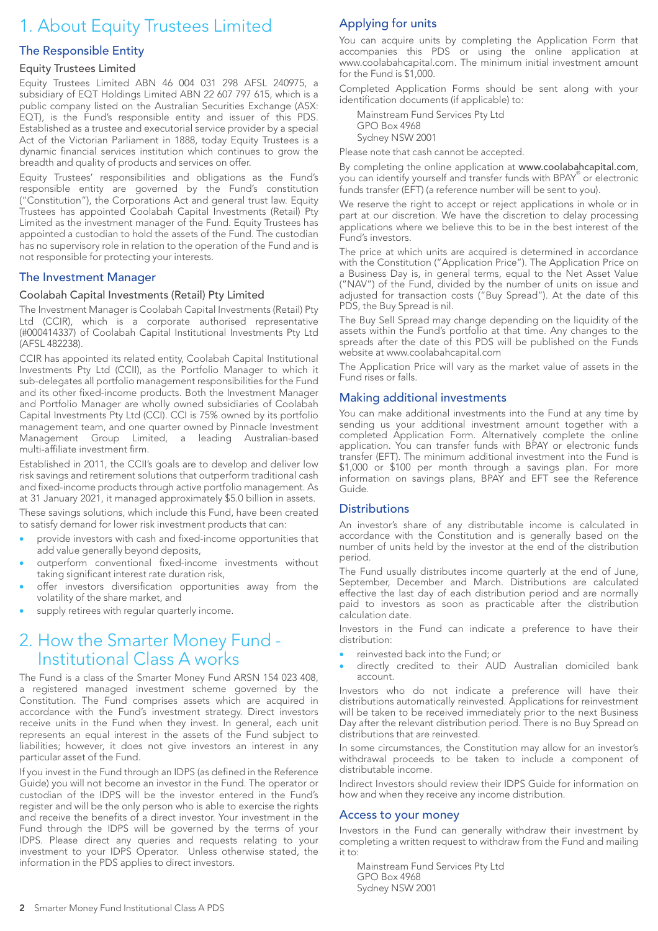# 1. About Equity Trustees Limited

#### The Responsible Entity

#### Equity Trustees Limited

Equity Trustees Limited ABN 46 004 031 298 AFSL 240975, a subsidiary of EQT Holdings Limited ABN 22 607 797 615, which is a public company listed on the Australian Securities Exchange (ASX: EQT), is the Fund's responsible entity and issuer of this PDS. Established as a trustee and executorial service provider by a special Act of the Victorian Parliament in 1888, today Equity Trustees is a dynamic financial services institution which continues to grow the breadth and quality of products and services on offer.

Equity Trustees' responsibilities and obligations as the Fund's responsible entity are governed by the Fund's constitution ("Constitution"), the Corporations Act and general trust law. Equity Trustees has appointed Coolabah Capital Investments (Retail) Pty Limited as the investment manager of the Fund. Equity Trustees has appointed a custodian to hold the assets of the Fund. The custodian has no supervisory role in relation to the operation of the Fund and is not responsible for protecting your interests.

#### The Investment Manager

#### Coolabah Capital Investments (Retail) Pty Limited

The Investment Manager is Coolabah Capital Investments (Retail) Pty Ltd (CCIR), which is a corporate authorised representative (#000414337) of Coolabah Capital Institutional Investments Pty Ltd (AFSL 482238).

CCIR has appointed its related entity, Coolabah Capital Institutional Investments Pty Ltd (CCII), as the Portfolio Manager to which it sub-delegates all portfolio management responsibilities for the Fund and its other fixed-income products. Both the Investment Manager and Portfolio Manager are wholly owned subsidiaries of Coolabah Capital Investments Pty Ltd (CCI). CCI is 75% owned by its portfolio management team, and one quarter owned by Pinnacle Investment Management Group Limited, a leading Australian-based multi-affiliate investment firm.

Established in 2011, the CCII's goals are to develop and deliver low risk savings and retirement solutions that outperform traditional cash and fixed-income products through active portfolio management. As at 31 January 2021, it managed approximately \$5.0 billion in assets.

These savings solutions, which include this Fund, have been created to satisfy demand for lower risk investment products that can:

- provide investors with cash and fixed-income opportunities that add value generally beyond deposits,
- outperform conventional fixed-income investments without taking significant interest rate duration risk,
- offer investors diversification opportunities away from the volatility of the share market, and
- supply retirees with regular quarterly income.

### 2. How the Smarter Money Fund - Institutional Class A works

The Fund is a class of the Smarter Money Fund ARSN 154 023 408, a registered managed investment scheme governed by the Constitution. The Fund comprises assets which are acquired in accordance with the Fund's investment strategy. Direct investors receive units in the Fund when they invest. In general, each unit represents an equal interest in the assets of the Fund subject to liabilities; however, it does not give investors an interest in any particular asset of the Fund.

If you invest in the Fund through an IDPS (as defined in the Reference Guide) you will not become an investor in the Fund. The operator or custodian of the IDPS will be the investor entered in the Fund's register and will be the only person who is able to exercise the rights and receive the benefits of a direct investor. Your investment in the Fund through the IDPS will be governed by the terms of your IDPS. Please direct any queries and requests relating to your investment to your IDPS Operator. Unless otherwise stated, the information in the PDS applies to direct investors.

#### Applying for units

You can acquire units by completing the Application Form that accompanies this PDS or using the online application at www.coolabahcapital.com. The minimum initial investment amount for the Fund is \$1,000.

Completed Application Forms should be sent along with your identification documents (if applicable) to:

Mainstream Fund Services Pty Ltd GPO Box 4968 Sydney NSW 2001

Please note that cash cannot be accepted.

By completing the online application at www.coolabahcapital.com, you can identify yourself and transfer funds with BPAY® or electronic funds transfer (EFT) (a reference number will be sent to you).

We reserve the right to accept or reject applications in whole or in part at our discretion. We have the discretion to delay processing applications where we believe this to be in the best interest of the Fund's investors.

The price at which units are acquired is determined in accordance with the Constitution ("Application Price"). The Application Price on a Business Day is, in general terms, equal to the Net Asset Value ("NAV") of the Fund, divided by the number of units on issue and adjusted for transaction costs ("Buy Spread"). At the date of this PDS, the Buy Spread is nil.

The Buy Sell Spread may change depending on the liquidity of the assets within the Fund's portfolio at that time. Any changes to the spreads after the date of this PDS will be published on the Funds website at www.coolabahcapital.com

The Application Price will vary as the market value of assets in the Fund rises or falls.

#### Making additional investments

You can make additional investments into the Fund at any time by sending us your additional investment amount together with a completed Application Form. Alternatively complete the online application. You can transfer funds with BPAY or electronic funds transfer (EFT). The minimum additional investment into the Fund is \$1,000 or \$100 per month through a savings plan. For more information on savings plans, BPAY and EFT see the Reference Guide.

#### **Distributions**

An investor's share of any distributable income is calculated in accordance with the Constitution and is generally based on the number of units held by the investor at the end of the distribution period.

The Fund usually distributes income quarterly at the end of June, September, December and March. Distributions are calculated effective the last day of each distribution period and are normally paid to investors as soon as practicable after the distribution calculation date.

Investors in the Fund can indicate a preference to have their distribution:

- reinvested back into the Fund; or
- directly credited to their AUD Australian domiciled bank account.

Investors who do not indicate a preference will have their distributions automatically reinvested. Applications for reinvestment will be taken to be received immediately prior to the next Business Day after the relevant distribution period. There is no Buy Spread on distributions that are reinvested.

In some circumstances, the Constitution may allow for an investor's withdrawal proceeds to be taken to include a component of distributable income.

Indirect Investors should review their IDPS Guide for information on how and when they receive any income distribution.

#### Access to your money

Investors in the Fund can generally withdraw their investment by completing a written request to withdraw from the Fund and mailing it to:

Mainstream Fund Services Pty Ltd GPO Box 4968 Sydney NSW 2001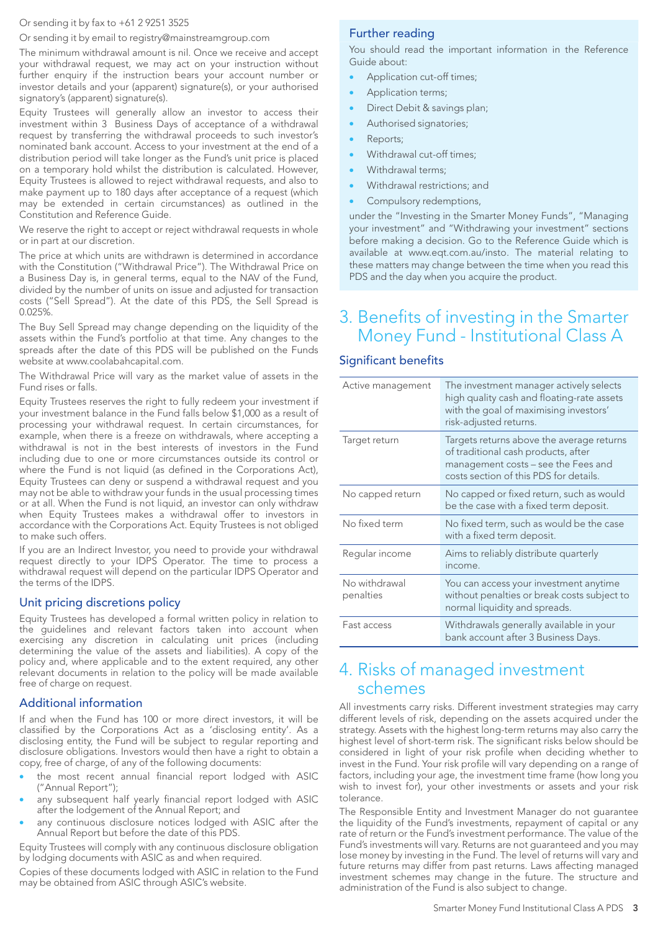#### Or sending it by fax to +61 2 9251 3525

Or sending it by email to registry@mainstreamgroup.com

The minimum withdrawal amount is nil. Once we receive and accept your withdrawal request, we may act on your instruction without further enquiry if the instruction bears your account number or investor details and your (apparent) signature(s), or your authorised signatory's (apparent) signature(s).

Equity Trustees will generally allow an investor to access their investment within 3 Business Days of acceptance of a withdrawal request by transferring the withdrawal proceeds to such investor's nominated bank account. Access to your investment at the end of a distribution period will take longer as the Fund's unit price is placed on a temporary hold whilst the distribution is calculated. However, Equity Trustees is allowed to reject withdrawal requests, and also to make payment up to 180 days after acceptance of a request (which may be extended in certain circumstances) as outlined in the Constitution and Reference Guide.

We reserve the right to accept or reject withdrawal requests in whole or in part at our discretion.

The price at which units are withdrawn is determined in accordance with the Constitution ("Withdrawal Price"). The Withdrawal Price on a Business Day is, in general terms, equal to the NAV of the Fund, divided by the number of units on issue and adjusted for transaction costs ("Sell Spread"). At the date of this PDS, the Sell Spread is 0.025%.

The Buy Sell Spread may change depending on the liquidity of the assets within the Fund's portfolio at that time. Any changes to the spreads after the date of this PDS will be published on the Funds website at www.coolabahcapital.com.

The Withdrawal Price will vary as the market value of assets in the Fund rises or falls.

Equity Trustees reserves the right to fully redeem your investment if your investment balance in the Fund falls below \$1,000 as a result of processing your withdrawal request. In certain circumstances, for example, when there is a freeze on withdrawals, where accepting a withdrawal is not in the best interests of investors in the Fund including due to one or more circumstances outside its control or where the Fund is not liquid (as defined in the Corporations Act), Equity Trustees can deny or suspend a withdrawal request and you may not be able to withdraw your funds in the usual processing times or at all. When the Fund is not liquid, an investor can only withdraw when Equity Trustees makes a withdrawal offer to investors in accordance with the Corporations Act. Equity Trustees is not obliged to make such offers.

If you are an Indirect Investor, you need to provide your withdrawal request directly to your IDPS Operator. The time to process a withdrawal request will depend on the particular IDPS Operator and the terms of the IDPS.

#### Unit pricing discretions policy

Equity Trustees has developed a formal written policy in relation to the guidelines and relevant factors taken into account when exercising any discretion in calculating unit prices (including determining the value of the assets and liabilities). A copy of the policy and, where applicable and to the extent required, any other relevant documents in relation to the policy will be made available free of charge on request.

#### Additional information

If and when the Fund has 100 or more direct investors, it will be classified by the Corporations Act as a 'disclosing entity'. As a disclosing entity, the Fund will be subject to regular reporting and disclosure obligations. Investors would then have a right to obtain a copy, free of charge, of any of the following documents:

- the most recent annual financial report lodged with ASIC ("Annual Report");
- any subsequent half yearly financial report lodged with ASIC after the lodgement of the Annual Report; and
- any continuous disclosure notices lodged with ASIC after the Annual Report but before the date of this PDS.

Equity Trustees will comply with any continuous disclosure obligation by lodging documents with ASIC as and when required.

Copies of these documents lodged with ASIC in relation to the Fund may be obtained from ASIC through ASIC's website.

#### Further reading

You should read the important information in the Reference Guide about:

- Application cut-off times;
- Application terms;
- Direct Debit & savings plan;
- Authorised signatories;
- Reports;
- Withdrawal cut-off times;
- Withdrawal terms;
- Withdrawal restrictions; and
- Compulsory redemptions,

under the "Investing in the Smarter Money Funds", "Managing your investment" and "Withdrawing your investment" sections before making a decision. Go to the Reference Guide which is available at www.eqt.com.au/insto. The material relating to these matters may change between the time when you read this PDS and the day when you acquire the product.

## 3. Benefits of investing in the Smarter Money Fund - Institutional Class A

#### Significant benefits

| Active management          | The investment manager actively selects<br>high quality cash and floating-rate assets<br>with the goal of maximising investors'<br>risk-adjusted returns.         |
|----------------------------|-------------------------------------------------------------------------------------------------------------------------------------------------------------------|
| Target return              | Targets returns above the average returns<br>of traditional cash products, after<br>management costs – see the Fees and<br>costs section of this PDS for details. |
| No capped return           | No capped or fixed return, such as would<br>be the case with a fixed term deposit.                                                                                |
| No fixed term              | No fixed term, such as would be the case<br>with a fixed term deposit.                                                                                            |
| Regular income             | Aims to reliably distribute quarterly<br>income.                                                                                                                  |
| No withdrawal<br>penalties | You can access your investment anytime<br>without penalties or break costs subject to<br>normal liquidity and spreads.                                            |
| Fast access                | Withdrawals generally available in your<br>bank account after 3 Business Days.                                                                                    |

### 4. Risks of managed investment schemes

All investments carry risks. Different investment strategies may carry different levels of risk, depending on the assets acquired under the strategy. Assets with the highest long-term returns may also carry the highest level of short-term risk. The significant risks below should be considered in light of your risk profile when deciding whether to invest in the Fund. Your risk profile will vary depending on a range of factors, including your age, the investment time frame (how long you wish to invest for), your other investments or assets and your risk tolerance.

The Responsible Entity and Investment Manager do not guarantee the liquidity of the Fund's investments, repayment of capital or any rate of return or the Fund's investment performance. The value of the Fund's investments will vary. Returns are not guaranteed and you may lose money by investing in the Fund. The level of returns will vary and future returns may differ from past returns. Laws affecting managed investment schemes may change in the future. The structure and administration of the Fund is also subject to change.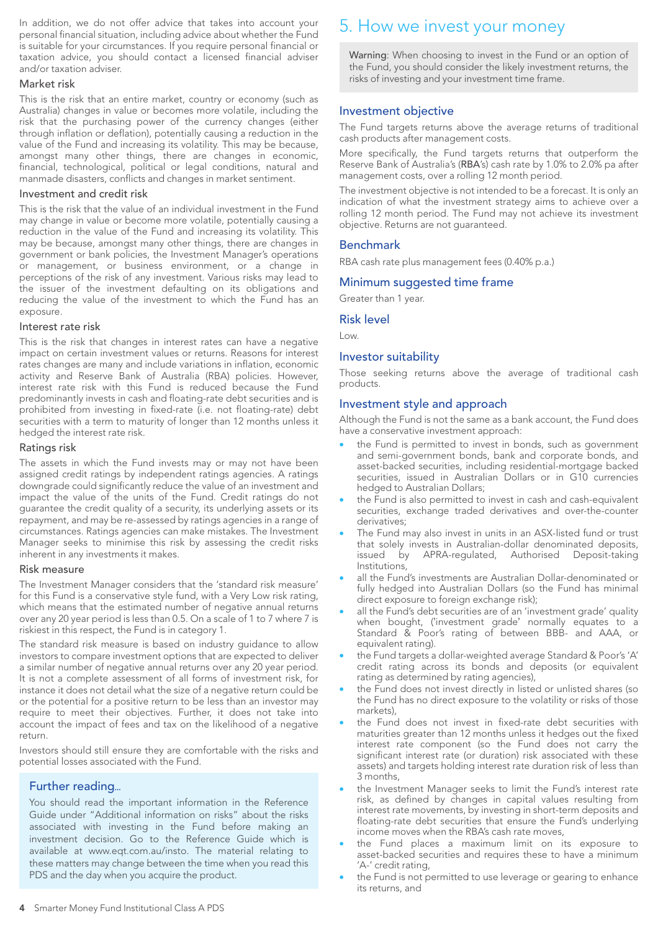In addition, we do not offer advice that takes into account your personal financial situation, including advice about whether the Fund is suitable for your circumstances. If you require personal financial or taxation advice, you should contact a licensed financial adviser and/or taxation adviser.

#### Market risk

This is the risk that an entire market, country or economy (such as Australia) changes in value or becomes more volatile, including the risk that the purchasing power of the currency changes (either through inflation or deflation), potentially causing a reduction in the value of the Fund and increasing its volatility. This may be because, amongst many other things, there are changes in economic, financial, technological, political or legal conditions, natural and manmade disasters, conflicts and changes in market sentiment.

#### Investment and credit risk

This is the risk that the value of an individual investment in the Fund may change in value or become more volatile, potentially causing a reduction in the value of the Fund and increasing its volatility. This may be because, amongst many other things, there are changes in government or bank policies, the Investment Manager's operations or management, or business environment, or a change in perceptions of the risk of any investment. Various risks may lead to the issuer of the investment defaulting on its obligations and reducing the value of the investment to which the Fund has an exposure.

#### Interest rate risk

This is the risk that changes in interest rates can have a negative impact on certain investment values or returns. Reasons for interest rates changes are many and include variations in inflation, economic activity and Reserve Bank of Australia (RBA) policies. However, interest rate risk with this Fund is reduced because the Fund predominantly invests in cash and floating-rate debt securities and is prohibited from investing in fixed-rate (i.e. not floating-rate) debt securities with a term to maturity of longer than 12 months unless it hedged the interest rate risk.

#### Ratings risk

The assets in which the Fund invests may or may not have been assigned credit ratings by independent ratings agencies. A ratings downgrade could significantly reduce the value of an investment and impact the value of the units of the Fund. Credit ratings do not guarantee the credit quality of a security, its underlying assets or its repayment, and may be re-assessed by ratings agencies in a range of circumstances. Ratings agencies can make mistakes. The Investment Manager seeks to minimise this risk by assessing the credit risks inherent in any investments it makes.

#### Risk measure

The Investment Manager considers that the 'standard risk measure' for this Fund is a conservative style fund, with a Very Low risk rating, which means that the estimated number of negative annual returns over any 20 year period is less than 0.5. On a scale of 1 to 7 where 7 is riskiest in this respect, the Fund is in category 1.

The standard risk measure is based on industry guidance to allow investors to compare investment options that are expected to deliver a similar number of negative annual returns over any 20 year period. It is not a complete assessment of all forms of investment risk, for instance it does not detail what the size of a negative return could be or the potential for a positive return to be less than an investor may require to meet their objectives. Further, it does not take into account the impact of fees and tax on the likelihood of a negative return.

Investors should still ensure they are comfortable with the risks and potential losses associated with the Fund.

#### Further reading...

You should read the important information in the Reference Guide under "Additional information on risks" about the risks associated with investing in the Fund before making an investment decision. Go to the Reference Guide which is available at www.eqt.com.au/insto. The material relating to these matters may change between the time when you read this PDS and the day when you acquire the product.

# 5. How we invest your money

Warning: When choosing to invest in the Fund or an option of the Fund, you should consider the likely investment returns, the risks of investing and your investment time frame.

#### Investment objective

The Fund targets returns above the average returns of traditional cash products after management costs.

More specifically, the Fund targets returns that outperform the Reserve Bank of Australia's (RBA's) cash rate by 1.0% to 2.0% pa after management costs, over a rolling 12 month period.

The investment objective is not intended to be a forecast. It is only an indication of what the investment strategy aims to achieve over a rolling 12 month period. The Fund may not achieve its investment objective. Returns are not guaranteed.

#### Benchmark

RBA cash rate plus management fees (0.40% p.a.)

#### Minimum suggested time frame

Greater than 1 year.

#### Risk level

Low.

#### Investor suitability

Those seeking returns above the average of traditional cash products.

#### Investment style and approach

Although the Fund is not the same as a bank account, the Fund does have a conservative investment approach:

- the Fund is permitted to invest in bonds, such as government and semi-government bonds, bank and corporate bonds, and asset-backed securities, including residential-mortgage backed securities, issued in Australian Dollars or in G10 currencies hedged to Australian Dollars;
- the Fund is also permitted to invest in cash and cash-equivalent securities, exchange traded derivatives and over-the-counter derivatives;
- The Fund may also invest in units in an ASX-listed fund or trust that solely invests in Australian-dollar denominated deposits, issued by APRA-regulated, Authorised Deposit-taking Institutions,
- all the Fund's investments are Australian Dollar-denominated or fully hedged into Australian Dollars (so the Fund has minimal direct exposure to foreign exchange risk);
- all the Fund's debt securities are of an 'investment grade' quality when bought, ('investment grade' normally equates to a Standard & Poor's rating of between BBB- and AAA, or equivalent rating).
- the Fund targets a dollar-weighted average Standard & Poor's 'A' credit rating across its bonds and deposits (or equivalent rating as determined by rating agencies),
- the Fund does not invest directly in listed or unlisted shares (so the Fund has no direct exposure to the volatility or risks of those markets),
- the Fund does not invest in fixed-rate debt securities with maturities greater than 12 months unless it hedges out the fixed interest rate component (so the Fund does not carry the significant interest rate (or duration) risk associated with these assets) and targets holding interest rate duration risk of less than 3 months,
- the Investment Manager seeks to limit the Fund's interest rate risk, as defined by changes in capital values resulting from interest rate movements, by investing in short-term deposits and floating-rate debt securities that ensure the Fund's underlying income moves when the RBA's cash rate moves,
- the Fund places a maximum limit on its exposure to asset-backed securities and requires these to have a minimum 'A-' credit rating,
- the Fund is not permitted to use leverage or gearing to enhance its returns, and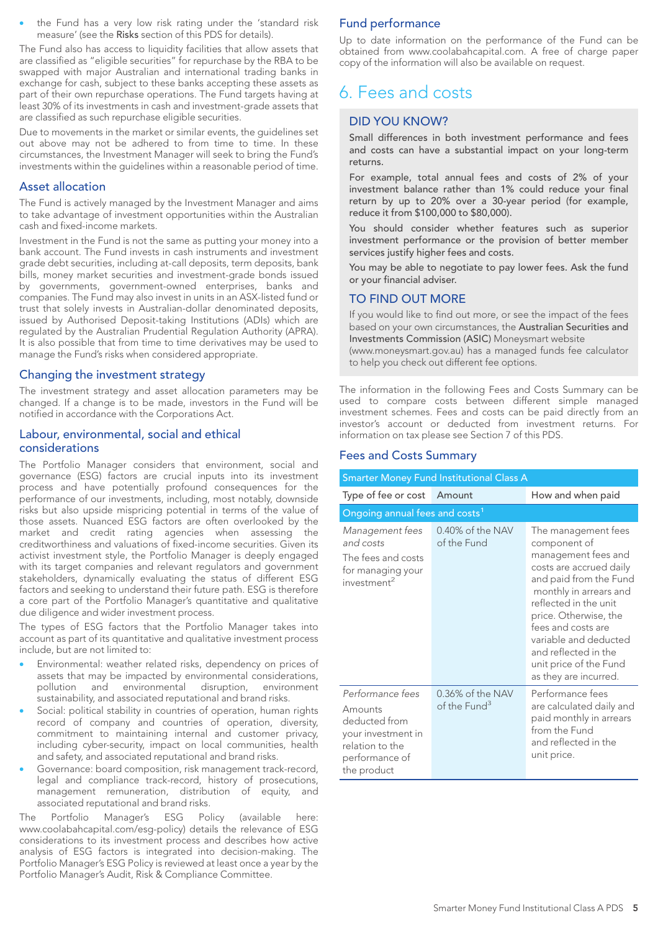the Fund has a very low risk rating under the 'standard risk measure' (see the Risks section of this PDS for details).

The Fund also has access to liquidity facilities that allow assets that are classified as "eligible securities" for repurchase by the RBA to be swapped with major Australian and international trading banks in exchange for cash, subject to these banks accepting these assets as part of their own repurchase operations. The Fund targets having at least 30% of its investments in cash and investment-grade assets that are classified as such repurchase eligible securities.

Due to movements in the market or similar events, the guidelines set out above may not be adhered to from time to time. In these circumstances, the Investment Manager will seek to bring the Fund's investments within the guidelines within a reasonable period of time.

#### Asset allocation

The Fund is actively managed by the Investment Manager and aims to take advantage of investment opportunities within the Australian cash and fixed-income markets.

Investment in the Fund is not the same as putting your money into a bank account. The Fund invests in cash instruments and investment grade debt securities, including at-call deposits, term deposits, bank bills, money market securities and investment-grade bonds issued by governments, government-owned enterprises, banks and companies. The Fund may also invest in units in an ASX-listed fund or trust that solely invests in Australian-dollar denominated deposits, issued by Authorised Deposit-taking Institutions (ADIs) which are regulated by the Australian Prudential Regulation Authority (APRA). It is also possible that from time to time derivatives may be used to manage the Fund's risks when considered appropriate.

#### Changing the investment strategy

The investment strategy and asset allocation parameters may be changed. If a change is to be made, investors in the Fund will be notified in accordance with the Corporations Act.

#### Labour, environmental, social and ethical considerations

The Portfolio Manager considers that environment, social and governance (ESG) factors are crucial inputs into its investment process and have potentially profound consequences for the performance of our investments, including, most notably, downside risks but also upside mispricing potential in terms of the value of those assets. Nuanced ESG factors are often overlooked by the market and credit rating agencies when assessing the creditworthiness and valuations of fixed-income securities. Given its activist investment style, the Portfolio Manager is deeply engaged with its target companies and relevant regulators and government stakeholders, dynamically evaluating the status of different ESG factors and seeking to understand their future path. ESG is therefore a core part of the Portfolio Manager's quantitative and qualitative due diligence and wider investment process.

The types of ESG factors that the Portfolio Manager takes into account as part of its quantitative and qualitative investment process include, but are not limited to:

- Environmental: weather related risks, dependency on prices of assets that may be impacted by environmental considerations, pollution and environmental disruption, environment sustainability, and associated reputational and brand risks.
- Social: political stability in countries of operation, human rights record of company and countries of operation, diversity, commitment to maintaining internal and customer privacy, including cyber-security, impact on local communities, health and safety, and associated reputational and brand risks.
- Governance: board composition, risk management track-record, legal and compliance track-record, history of prosecutions, management remuneration, distribution of equity, and associated reputational and brand risks.

The Portfolio Manager's ESG Policy (available here: www.coolabahcapital.com/esg-policy) details the relevance of ESG considerations to its investment process and describes how active analysis of ESG factors is integrated into decision-making. The Portfolio Manager's ESG Policy is reviewed at least once a year by the Portfolio Manager's Audit, Risk & Compliance Committee.

#### Fund performance

Up to date information on the performance of the Fund can be obtained from www.coolabahcapital.com. A free of charge paper copy of the information will also be available on request.

# 6. Fees and costs

#### DID YOU KNOW?

Small differences in both investment performance and fees and costs can have a substantial impact on your long-term returns.

For example, total annual fees and costs of 2% of your investment balance rather than 1% could reduce your final return by up to 20% over a 30-year period (for example, reduce it from \$100,000 to \$80,000).

You should consider whether features such as superior investment performance or the provision of better member services justify higher fees and costs.

You may be able to negotiate to pay lower fees. Ask the fund or your financial adviser.

#### TO FIND OUT MORE

If you would like to find out more, or see the impact of the fees based on your own circumstances, the Australian Securities and Investments Commission (ASIC) Moneysmart website (www.moneysmart.gov.au) has a managed funds fee calculator to help you check out different fee options.

The information in the following Fees and Costs Summary can be used to compare costs between different simple managed investment schemes. Fees and costs can be paid directly from an investor's account or deducted from investment returns. For

information on tax please see Section 7 of this PDS.

#### Fees and Costs Summary

| <b>Smarter Money Fund Institutional Class A</b>                                                                        |                                    |                                                                                                                                                                                                                                                                                                                       |  |  |  |
|------------------------------------------------------------------------------------------------------------------------|------------------------------------|-----------------------------------------------------------------------------------------------------------------------------------------------------------------------------------------------------------------------------------------------------------------------------------------------------------------------|--|--|--|
| Type of fee or cost                                                                                                    | Amount                             | How and when paid                                                                                                                                                                                                                                                                                                     |  |  |  |
| Ongoing annual fees and costs <sup>1</sup>                                                                             |                                    |                                                                                                                                                                                                                                                                                                                       |  |  |  |
| Management fees<br>and costs<br>The fees and costs<br>for managing your<br>investment <sup>2</sup>                     | 0.40% of the NAV<br>of the Fund    | The management fees<br>component of<br>management fees and<br>costs are accrued daily<br>and paid from the Fund<br>monthly in arrears and<br>reflected in the unit<br>price. Otherwise, the<br>fees and costs are<br>variable and deducted<br>and reflected in the<br>unit price of the Fund<br>as they are incurred. |  |  |  |
| Performance fees<br>Amounts<br>deducted from<br>your investment in<br>relation to the<br>performance of<br>the product | 0.36% of the NAV<br>of the $Fund3$ | Performance fees<br>are calculated daily and<br>paid monthly in arrears<br>from the Fund<br>and reflected in the<br>unit price.                                                                                                                                                                                       |  |  |  |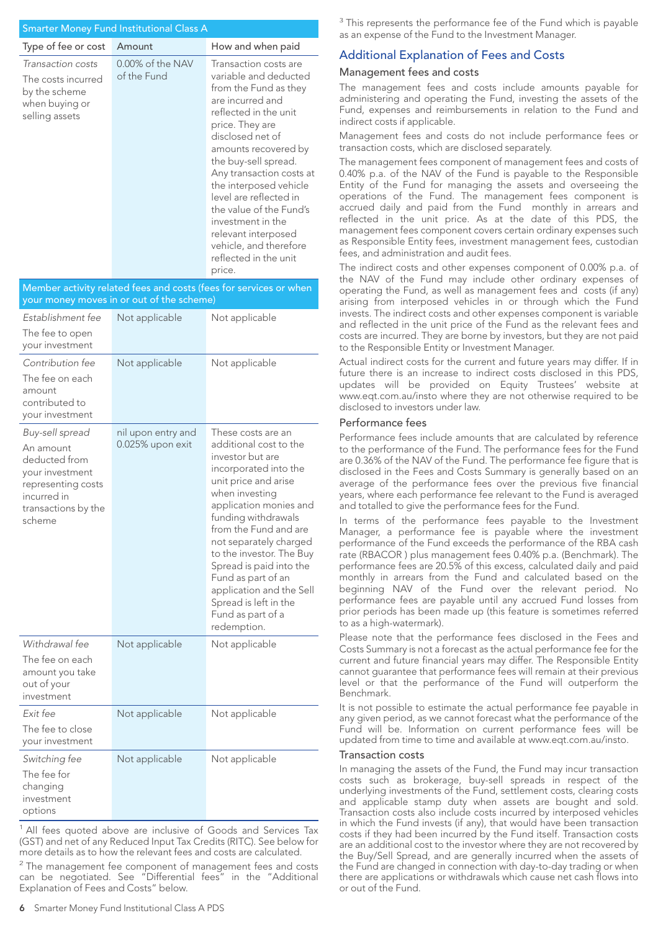#### Smarter Money Fund Institutional Class A

| Type of fee or cost                                                                          | Amount                             | How and when paid                                                                                                                                                                                                                                                                                                                                                                                                               |
|----------------------------------------------------------------------------------------------|------------------------------------|---------------------------------------------------------------------------------------------------------------------------------------------------------------------------------------------------------------------------------------------------------------------------------------------------------------------------------------------------------------------------------------------------------------------------------|
| Transaction costs<br>The costs incurred<br>by the scheme<br>when buying or<br>selling assets | $0.00\%$ of the NAV<br>of the Fund | Transaction costs are<br>variable and deducted<br>from the Fund as they<br>are incurred and<br>reflected in the unit<br>price. They are<br>disclosed net of<br>amounts recovered by<br>the buy-sell spread.<br>Any transaction costs at<br>the interposed vehicle<br>level are reflected in<br>the value of the Fund's<br>investment in the<br>relevant interposed<br>vehicle, and therefore<br>reflected in the unit<br>price. |

Member activity related fees and costs (fees for services or when your money moves in or out of the scheme) *Establishment fee* The fee to open your investment Not applicable Not applicable *Contribution fee* The fee on each amount contributed to your investment Not applicable Not applicable *Buy-sell spread* An amount deducted from your investment representing costs incurred in transactions by the scheme nil upon entry and 0.025% upon exit These costs are an additional cost to the investor but are incorporated into the unit price and arise when investing application monies and funding withdrawals from the Fund and are not separately charged to the investor. The Buy Spread is paid into the Fund as part of an application and the Sell Spread is left in the Fund as part of a redemption. *Withdrawal fee* The fee on each amount you take out of your investment Not applicable Not applicable *Exit fee* The fee to close your investment Not applicable Not applicable *Switching fee* The fee for changing investment options Not applicable Not applicable

<sup>1</sup> All fees quoted above are inclusive of Goods and Services Tax (GST) and net of any Reduced Input Tax Credits (RITC). See below for more details as to how the relevant fees and costs are calculated.

 $2$  The management fee component of management fees and costs can be negotiated. See "Differential fees" in the "Additional Explanation of Fees and Costs" below.

#### Additional Explanation of Fees and Costs

#### Management fees and costs

The management fees and costs include amounts payable for administering and operating the Fund, investing the assets of the Fund, expenses and reimbursements in relation to the Fund and indirect costs if applicable.

Management fees and costs do not include performance fees or transaction costs, which are disclosed separately.

The management fees component of management fees and costs of 0.40% p.a. of the NAV of the Fund is payable to the Responsible Entity of the Fund for managing the assets and overseeing the operations of the Fund. The management fees component is accrued daily and paid from the Fund monthly in arrears and reflected in the unit price. As at the date of this PDS, the management fees component covers certain ordinary expenses such as Responsible Entity fees, investment management fees, custodian fees, and administration and audit fees.

The indirect costs and other expenses component of 0.00% p.a. of the NAV of the Fund may include other ordinary expenses of operating the Fund, as well as management fees and costs (if any) arising from interposed vehicles in or through which the Fund invests. The indirect costs and other expenses component is variable and reflected in the unit price of the Fund as the relevant fees and costs are incurred. They are borne by investors, but they are not paid to the Responsible Entity or Investment Manager.

Actual indirect costs for the current and future years may differ. If in future there is an increase to indirect costs disclosed in this PDS, updates will be provided on Equity Trustees' website at www.eqt.com.au/insto where they are not otherwise required to be disclosed to investors under law.

#### Performance fees

Performance fees include amounts that are calculated by reference to the performance of the Fund. The performance fees for the Fund are 0.36% of the NAV of the Fund. The performance fee figure that is disclosed in the Fees and Costs Summary is generally based on an average of the performance fees over the previous five financial years, where each performance fee relevant to the Fund is averaged and totalled to give the performance fees for the Fund.

In terms of the performance fees payable to the Investment Manager, a performance fee is payable where the investment performance of the Fund exceeds the performance of the RBA cash rate (RBACOR ) plus management fees 0.40% p.a. (Benchmark). The performance fees are 20.5% of this excess, calculated daily and paid monthly in arrears from the Fund and calculated based on the beginning NAV of the Fund over the relevant period. No performance fees are payable until any accrued Fund losses from prior periods has been made up (this feature is sometimes referred to as a high-watermark).

Please note that the performance fees disclosed in the Fees and Costs Summary is not a forecast as the actual performance fee for the current and future financial years may differ. The Responsible Entity cannot guarantee that performance fees will remain at their previous level or that the performance of the Fund will outperform the Benchmark.

It is not possible to estimate the actual performance fee payable in any given period, as we cannot forecast what the performance of the Fund will be. Information on current performance fees will be updated from time to time and available at www.eqt.com.au/insto.

#### Transaction costs

In managing the assets of the Fund, the Fund may incur transaction costs such as brokerage, buy-sell spreads in respect of the underlying investments of the Fund, settlement costs, clearing costs and applicable stamp duty when assets are bought and sold. Transaction costs also include costs incurred by interposed vehicles in which the Fund invests (if any), that would have been transaction costs if they had been incurred by the Fund itself. Transaction costs are an additional cost to the investor where they are not recovered by the Buy/Sell Spread, and are generally incurred when the assets of the Fund are changed in connection with day-to-day trading or when there are applications or withdrawals which cause net cash flows into or out of the Fund.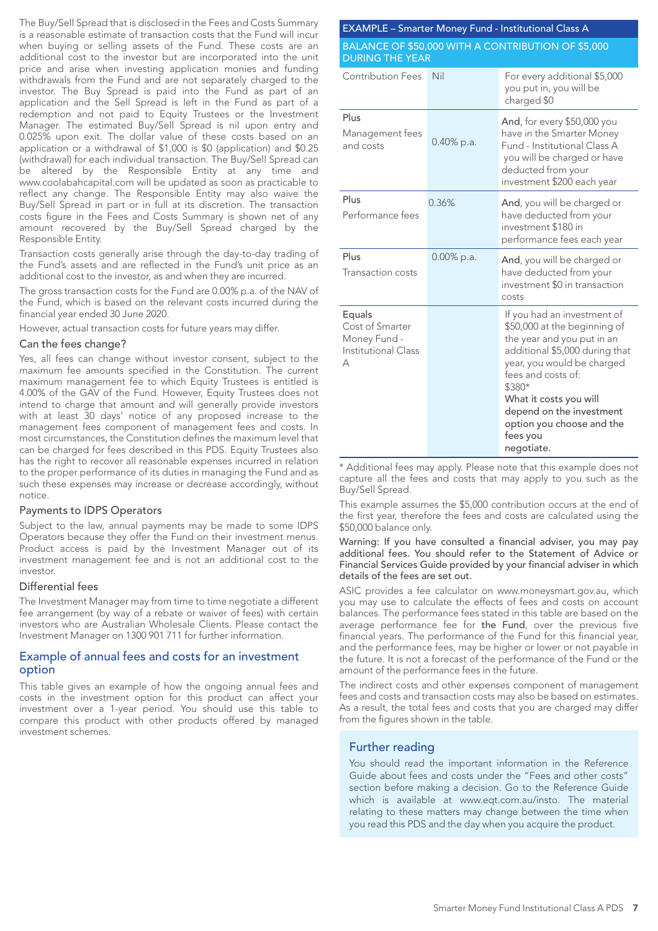The Buy/Sell Spread that is disclosed in the Fees and Costs Summary is a reasonable estimate of transaction costs that the Fund will incur when buying or selling assets of the Fund. These costs are an additional cost to the investor but are incorporated into the unit price and arise when investing application monies and funding withdrawals from the Fund and are not separately charged to the investor. The Buy Spread is paid into the Fund as part of an application and the Sell Spread is left in the Fund as part of a redemption and not paid to Equity Trustees or the Investment Manager. The estimated Buy/Sell Spread is nil upon entry and 0.025% upon exit. The dollar value of these costs based on an application or a withdrawal of \$1,000 is \$0 (application) and \$0.25 (withdrawal) for each individual transaction. The Buy/Sell Spread can be altered by the Responsible Entity at any time and www.coolabahcapital.com will be updated as soon as practicable to reflect any change. The Responsible Entity may also waive the Buy/Sell Spread in part or in full at its discretion. The transaction costs figure in the Fees and Costs Summary is shown net of any amount recovered by the Buy/Sell Spread charged by the Responsible Entity.

Transaction costs generally arise through the day-to-day trading of the Fund's assets and are reflected in the Fund's unit price as an additional cost to the investor, as and when they are incurred.

The gross transaction costs for the Fund are 0.00% p.a. of the NAV of the Fund, which is based on the relevant costs incurred during the financial year ended 30 June 2020.

However, actual transaction costs for future years may differ.

#### Can the fees change?

Yes, all fees can change without investor consent, subject to the maximum fee amounts specified in the Constitution. The current maximum management fee to which Equity Trustees is entitled is 4.00% of the GAV of the Fund. However, Equity Trustees does not intend to charge that amount and will generally provide investors with at least 30 days' notice of any proposed increase to the management fees component of management fees and costs. In most circumstances, the Constitution defines the maximum level that can be charged for fees described in this PDS. Equity Trustees also has the right to recover all reasonable expenses incurred in relation to the proper performance of its duties in managing the Fund and as such these expenses may increase or decrease accordingly, without notice.

#### Payments to IDPS Operators

Subject to the law, annual payments may be made to some IDPS Operators because they offer the Fund on their investment menus. Product access is paid by the Investment Manager out of its investment management fee and is not an additional cost to the investor.

#### Differential fees

The Investment Manager may from time to time negotiate a different fee arrangement (by way of a rebate or waiver of fees) with certain investors who are Australian Wholesale Clients. Please contact the Investment Manager on 1300 901 711 for further information.

#### Example of annual fees and costs for an investment option

This table gives an example of how the ongoing annual fees and costs in the investment option for this product can affect your investment over a 1-year period. You should use this table to compare this product with other products offered by managed investment schemes.

| <b>EXAMPLE - Smarter Money Fund - Institutional Class A</b>                  |               |                                                                                                                                                                                                                                                                                                        |  |  |  |
|------------------------------------------------------------------------------|---------------|--------------------------------------------------------------------------------------------------------------------------------------------------------------------------------------------------------------------------------------------------------------------------------------------------------|--|--|--|
| BALANCE OF \$50,000 WITH A CONTRIBUTION OF \$5,000<br><b>DURING THE YEAR</b> |               |                                                                                                                                                                                                                                                                                                        |  |  |  |
| <b>Contribution Fees</b>                                                     | Nil           | For every additional \$5,000<br>you put in, you will be<br>charged \$0                                                                                                                                                                                                                                 |  |  |  |
| Plus<br>Management fees<br>and costs                                         | 0.40% p.a.    | And, for every \$50,000 you<br>have in the Smarter Money<br>Fund - Institutional Class A<br>you will be charged or have<br>deducted from your<br>investment \$200 each year                                                                                                                            |  |  |  |
| Plus<br>Performance fees                                                     | 0.36%         | And, you will be charged or<br>have deducted from your<br>investment \$180 in<br>performance fees each year                                                                                                                                                                                            |  |  |  |
| Plus<br><b>Transaction costs</b>                                             | $0.00\%$ p.a. | And, you will be charged or<br>have deducted from your<br>investment \$0 in transaction<br>costs                                                                                                                                                                                                       |  |  |  |
| Equals<br>Cost of Smarter<br>Money Fund -<br>Institutional Class<br>А        |               | If you had an investment of<br>\$50,000 at the beginning of<br>the year and you put in an<br>additional \$5,000 during that<br>year, you would be charged<br>fees and costs of:<br>\$380*<br>What it costs you will<br>depend on the investment<br>option you choose and the<br>fees you<br>negotiate. |  |  |  |

\* Additional fees may apply. Please note that this example does not capture all the fees and costs that may apply to you such as the Buy/Sell Spread.

This example assumes the \$5,000 contribution occurs at the end of the first year, therefore the fees and costs are calculated using the \$50,000 balance only.

#### Warning: If you have consulted a financial adviser, you may pay additional fees. You should refer to the Statement of Advice or Financial Services Guide provided by your financial adviser in which details of the fees are set out.

ASIC provides a fee calculator on www.moneysmart.gov.au, which you may use to calculate the effects of fees and costs on account balances. The performance fees stated in this table are based on the average performance fee for the Fund, over the previous five financial years. The performance of the Fund for this financial year, and the performance fees, may be higher or lower or not payable in the future. It is not a forecast of the performance of the Fund or the amount of the performance fees in the future.

The indirect costs and other expenses component of management fees and costs and transaction costs may also be based on estimates. As a result, the total fees and costs that you are charged may differ from the figures shown in the table.

#### Further reading

You should read the important information in the Reference Guide about fees and costs under the "Fees and other costs" section before making a decision. Go to the Reference Guide which is available at www.eqt.com.au/insto. The material relating to these matters may change between the time when you read this PDS and the day when you acquire the product.